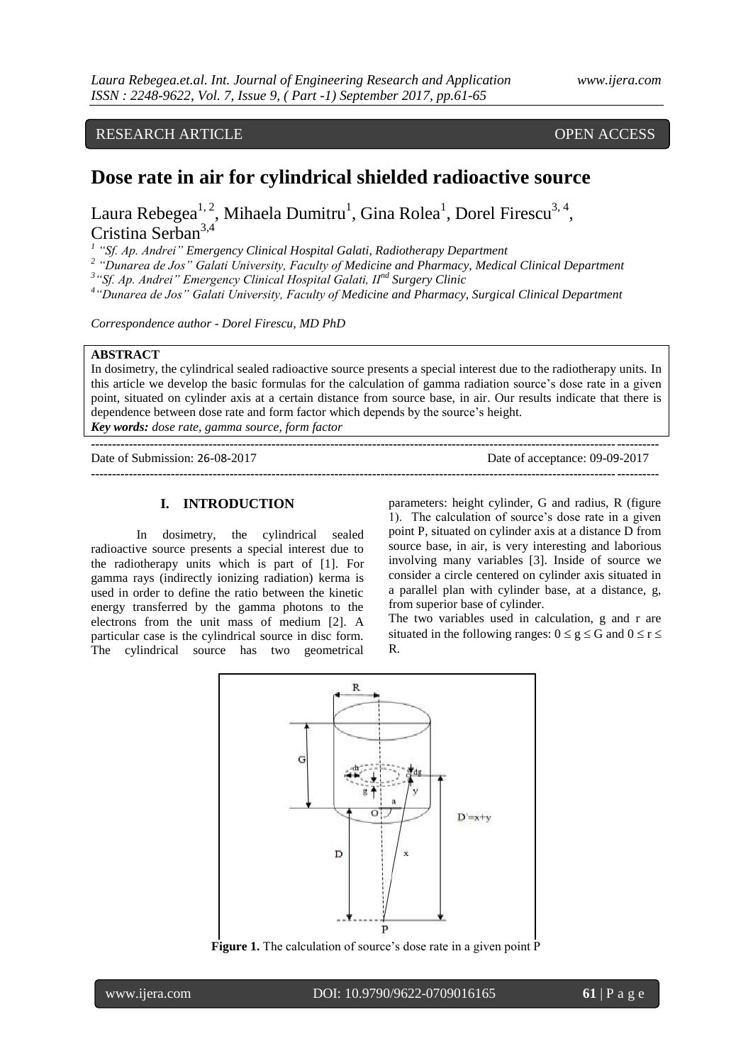## RESEARCH ARTICLE OPEN ACCESS

# **Dose rate in air for cylindrical shielded radioactive source**

Laura Rebegea<sup>1, 2</sup>, Mihaela Dumitru<sup>1</sup>, Gina Rolea<sup>1</sup>, Dorel Firescu<sup>3, 4</sup>, Cristina Serban<sup>3,4</sup>

*1 "Sf. Ap. Andrei" Emergency Clinical Hospital Galati, Radiotherapy Department*

*2 "Dunarea de Jos" Galati University, Faculty of [Medicine](https://en.wikipedia.org/wiki/Medicine) and Pharmacy, Medical Clinical Department*

*3 "Sf. Ap. Andrei" Emergency Clinical Hospital Galati, IInd Surgery Clinic* 

*4 "Dunarea de Jos" Galati University, Faculty of [Medicine](https://en.wikipedia.org/wiki/Medicine) and Pharmacy, Surgical Clinical Department*

*Correspondence author - Dorel Firescu, MD PhD*

#### **ABSTRACT**

In dosimetry, the cylindrical sealed radioactive source presents a special interest due to the radiotherapy units. In this article we develop the basic formulas for the calculation of gamma radiation source's dose rate in a given point, situated on cylinder axis at a certain distance from source base, in air. Our results indicate that there is dependence between dose rate and form factor which depends by the source's height.

*Key words: dose rate, gamma source, form factor*

| Date of Submission: 26-08-2017 | Date of acceptance: 09-09-2017 |
|--------------------------------|--------------------------------|
|                                |                                |

#### **I. INTRODUCTION**

In dosimetry, the cylindrical sealed radioactive source presents a special interest due to the radiotherapy units which is part of [1]. For gamma rays (indirectly ionizing radiation) kerma is used in order to define the ratio between the kinetic energy transferred by the gamma photons to the electrons from the unit mass of medium [2]. A particular case is the cylindrical source in disc form. The cylindrical source has two geometrical

parameters: height cylinder, G and radius, R (figure 1). The calculation of source's dose rate in a given point P, situated on cylinder axis at a distance D from source base, in air, is very interesting and laborious involving many variables [3]. Inside of source we consider a circle centered on cylinder axis situated in a parallel plan with cylinder base, at a distance, g, from superior base of cylinder.

The two variables used in calculation, g and r are situated in the following ranges:  $0 \le g \le G$  and  $0 \le r \le$ R.



Figure 1. The calculation of source's dose rate in a given point P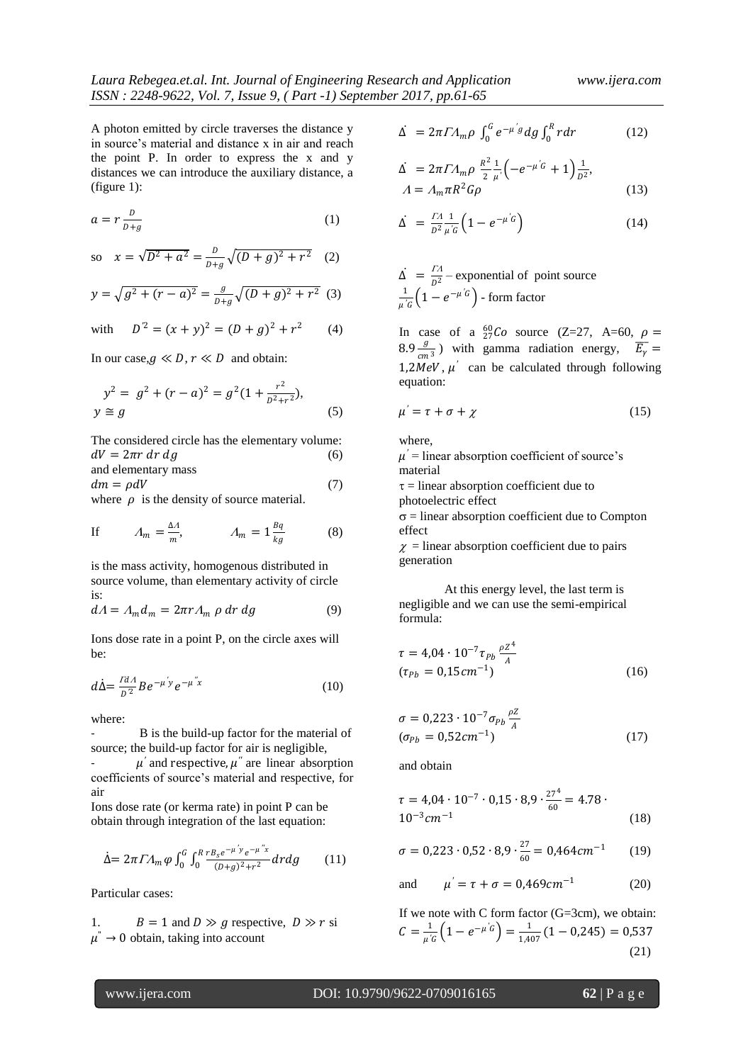A photon emitted by circle traverses the distance y in source's material and distance x in air and reach the point P. In order to express the x and y distances we can introduce the auxiliary distance, a (figure 1):

$$
a = r \frac{D}{D+g} \tag{1}
$$

so 
$$
x = \sqrt{D^2 + a^2} = \frac{D}{D+g} \sqrt{(D+g)^2 + r^2}
$$
 (2)

$$
y = \sqrt{g^2 + (r - a)^2} = \frac{g}{p + g} \sqrt{(D + g)^2 + r^2}
$$
 (3)

with 
$$
D^2 = (x + y)^2 = (D + g)^2 + r^2
$$
 (4)

In our case,  $g \ll D$ ,  $r \ll D$  and obtain:

$$
y^{2} = g^{2} + (r - a)^{2} = g^{2}(1 + \frac{r^{2}}{D^{2} + r^{2}}),
$$
  
\n
$$
y \cong g
$$
\n(5)

The considered circle has the elementary volume:  $dV = 2\pi r dr dg$  (6) and elementary mass  $dm = \rho dV$  (7)

where  $\rho$  is the density of source material.

If 
$$
\Lambda_m = \frac{\Delta A}{m}
$$
,  $\Lambda_m = 1 \frac{Bq}{kg}$  (8)

is the mass activity, homogenous distributed in source volume, than elementary activity of circle is:

$$
dA = A_m d_m = 2\pi r A_m \rho \, dr \, dg \tag{9}
$$

Ions dose rate in a point P, on the circle axes will be:

$$
d\dot{\Delta} = \frac{d^{2}A}{D^{2}} B e^{-\mu' y} e^{-\mu'' x}
$$
 (10)

where:

B is the build-up factor for the material of source; the build-up factor for air is negligible,  $\mu'$  and respective,  $\mu''$  are linear absorption

coefficients of source's material and respective, for air

Ions dose rate (or kerma rate) in point P can be obtain through integration of the last equation:

$$
\dot{\Delta} = 2\pi I A_m \varphi \int_0^G \int_0^R \frac{r B_s e^{-\mu' y} e^{-\mu'' x}}{(\rho + g)^2 + r^2} dr dg \qquad (11)
$$

Particular cases:

1.  $B = 1$  and  $D \gg g$  respective,  $D \gg r$  si  $\mu^{\dagger} \rightarrow 0$  obtain, taking into account

$$
\Delta = 2\pi I A_m \rho \int_0^G e^{-\mu' g} dg \int_0^R r dr \qquad (12)
$$

$$
\begin{aligned}\n\dot{\Delta} &= 2\pi \Gamma A_m \rho \frac{R^2}{2} \frac{1}{\mu} \left( -e^{-\mu' G} + 1 \right) \frac{1}{D^2}, \\
A &= A_m \pi R^2 G \rho\n\end{aligned} \tag{13}
$$

$$
\Delta = \frac{\Gamma A}{D^2} \frac{1}{\mu' G} \left( 1 - e^{-\mu' G} \right) \tag{14}
$$

 $\Delta = \frac{I}{R}$  $\frac{1}{2}$  – exponential of point source 1  $\frac{1}{\mu^{'G}}\Big(1-e^{-\mu^{'}G}\Big)$  - form factor

In case of a  ${}_{27}^{60}Co$  source (Z=27, A=60,  $\rho =$  $8.9 \frac{g}{\epsilon}$  $\frac{g}{cm^3}$ ) with gamma radiation energy,  $\overline{E_\gamma} =$ 1,2MeV,  $\mu'$  can be calculated through following equation:

$$
\mu' = \tau + \sigma + \chi \tag{15}
$$

where,

 $\mu'$  = linear absorption coefficient of source's material

 $\tau$  = linear absorption coefficient due to photoelectric effect

 $\sigma$  = linear absorption coefficient due to Compton effect

 $\chi$  = linear absorption coefficient due to pairs generation

At this energy level, the last term is negligible and we can use the semi-empirical formula:

$$
\tau = 4.04 \cdot 10^{-7} \tau_{Pb} \frac{\rho Z^4}{A}
$$
  
( $\tau_{Pb} = 0.15 cm^{-1}$ ) (16)

$$
\sigma = 0,223 \cdot 10^{-7} \sigma_{Pb} \frac{\rho Z}{A}
$$
  
( $\sigma_{Pb} = 0,52 \, \text{cm}^{-1}$ ) (17)

and obtain

$$
\tau = 4.04 \cdot 10^{-7} \cdot 0.15 \cdot 8.9 \cdot \frac{27^4}{60} = 4.78 \cdot 10^{-3} cm^{-1}
$$
\n(18)

$$
\sigma = 0,223 \cdot 0,52 \cdot 8,9 \cdot \frac{27}{60} = 0,464 \, \text{cm}^{-1} \tag{19}
$$

and 
$$
\mu' = \tau + \sigma = 0.469 \text{cm}^{-1}
$$
 (20)

If we note with C form factor (G=3cm), we obtain:  $C = \frac{1}{a}$  $\frac{1}{\mu\text{'G}}\Big(1-e^{-\mu\text{'G}}\Big)=\frac{1}{1.40}$  $\frac{1}{1,407}(1-0.245) = 0.537$ (21)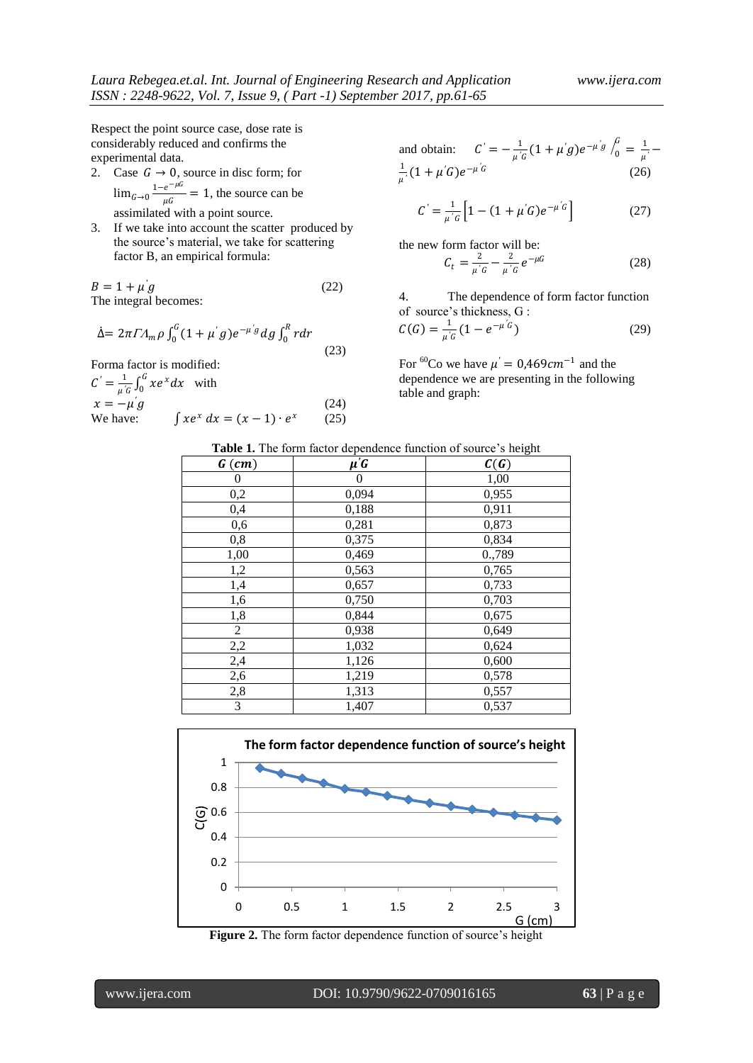Respect the point source case, dose rate is considerably reduced and confirms the experimental data.

- 2. Case  $G \rightarrow 0$ , source in disc form; for  $\lim_{G\to 0} \frac{1-e^{-\mu G}}{\mu G}$  $\frac{e}{\mu G}$  = 1, the source can be assimilated with a point source.
- 3. If we take into account the scatter produced by the source's material, we take for scattering factor B, an empirical formula:

$$
B = 1 + \mu' g \tag{22}
$$
  
The integral becomes:

$$
\dot{\Delta} = 2\pi I A_m \rho \int_0^G (1 + \mu' g) e^{-\mu' g} dg \int_0^R r dr
$$
\n(23)

Forma factor is modified:

 $C' = \frac{1}{a'}$  $\frac{1}{\mu\text{'G}}\int_0^G xe^x dx$  $\int_{0}^{\infty} xe^{x} dx$  with  $x = -\mu' g$ *′* (24) We have:  $x^x dx = (x - 1) \cdot e^x$ (25)

and obtain: 
$$
C' = -\frac{1}{\mu'G} (1 + \mu'g) e^{-\mu'g} \int_0^G = \frac{1}{\mu'} - \frac{1}{\mu'} (1 + \mu'G) e^{-\mu'G}
$$
 (26)

$$
C' = \frac{1}{\mu' G} \left[ 1 - (1 + \mu' G) e^{-\mu' G} \right]
$$
 (27)

the new form factor will be:  
\n
$$
C_t = \frac{2}{\mu'G} - \frac{2}{\mu'G} e^{-\mu G}
$$
\n(28)

4. The dependence of form factor function of source's thickness, G :

$$
C(G) = \frac{1}{\mu'G} (1 - e^{-\mu'G})
$$
 (29)

For <sup>60</sup>Co we have  $\mu' = 0.469cm^{-1}$  and the dependence we are presenting in the following table and graph:

|  |  | Table 1. The form factor dependence function of source's height |  |  |
|--|--|-----------------------------------------------------------------|--|--|
|  |  |                                                                 |  |  |

| $G$ (cm)       | $\mu$ <sup>'</sup> G | C(G)   |
|----------------|----------------------|--------|
| 0              | 0                    | 1,00   |
| 0,2            | 0,094                | 0,955  |
| 0,4            | 0,188                | 0,911  |
| 0,6            | 0,281                | 0,873  |
| 0,8            | 0,375                | 0,834  |
| 1,00           | 0,469                | 0.,789 |
| 1,2            | 0,563                | 0,765  |
| 1,4            | 0,657                | 0,733  |
| 1,6            | 0,750                | 0,703  |
| 1,8            | 0,844                | 0,675  |
| $\overline{c}$ | 0,938                | 0,649  |
| 2,2            | 1,032                | 0,624  |
| 2,4            | 1,126                | 0,600  |
| 2,6            | 1,219                | 0,578  |
| 2,8            | 1,313                | 0,557  |
| 3              | 1,407                | 0,537  |



**Figure 2.** The form factor dependence function of source's height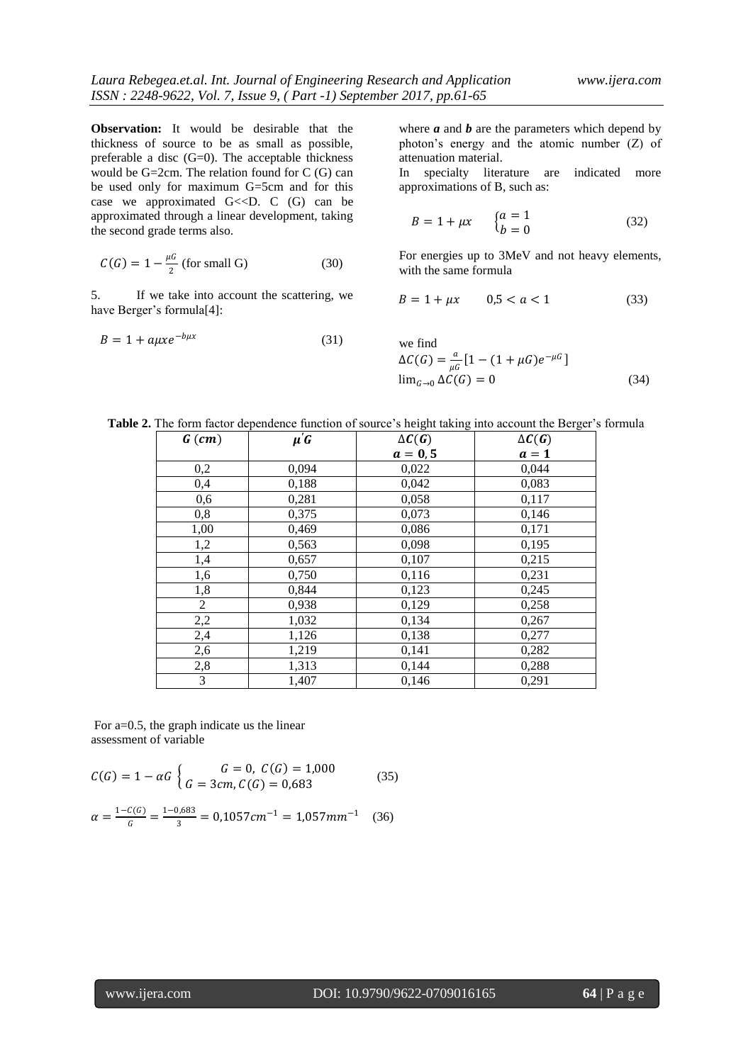**Observation:** It would be desirable that the thickness of source to be as small as possible, preferable a disc (G=0). The acceptable thickness would be  $G=2cm$ . The relation found for  $C(G)$  can be used only for maximum G=5cm and for this case we approximated  $G \ll D$ . C  $(G)$  can be approximated through a linear development, taking the second grade terms also.

$$
C(G) = 1 - \frac{\mu G}{2} \text{ (for small G)}
$$
 (30)

5. If we take into account the scattering, we have Berger's formula[4]:

$$
B = 1 + a\mu x e^{-b\mu x} \tag{31}
$$

where  $a$  and  $b$  are the parameters which depend by photon's energy and the atomic number (Z) of attenuation material.

In specialty literature are indicated more approximations of B, such as:

$$
B = 1 + \mu x \qquad \begin{cases} a = 1 \\ b = 0 \end{cases} \tag{32}
$$

For energies up to 3MeV and not heavy elements, with the same formula

$$
B = 1 + \mu x \qquad 0.5 < a < 1 \tag{33}
$$

we find  
\n
$$
\Delta C(G) = \frac{a}{\mu G} [1 - (1 + \mu G)e^{-\mu G}]
$$
\n
$$
\lim_{G \to 0} \Delta C(G) = 0
$$
\n(34)

|  | Table 2. The form factor dependence function of source's height taking into account the Berger's formula |
|--|----------------------------------------------------------------------------------------------------------|
|  |                                                                                                          |

| $G$ (cm)       | $\mu'$ G | $\Delta C(G)$ | $\Delta C(G)$ |
|----------------|----------|---------------|---------------|
|                |          | $a = 0, 5$    | $a=1$         |
| 0,2            | 0,094    | 0,022         | 0,044         |
| 0,4            | 0,188    | 0,042         | 0,083         |
| 0,6            | 0,281    | 0,058         | 0,117         |
| 0,8            | 0,375    | 0,073         | 0,146         |
| 1,00           | 0,469    | 0,086         | 0,171         |
| 1,2            | 0,563    | 0,098         | 0,195         |
| 1,4            | 0,657    | 0,107         | 0,215         |
| 1,6            | 0,750    | 0,116         | 0,231         |
| 1,8            | 0,844    | 0,123         | 0,245         |
| $\overline{2}$ | 0,938    | 0,129         | 0,258         |
| 2,2            | 1,032    | 0,134         | 0,267         |
| 2,4            | 1,126    | 0,138         | 0,277         |
| 2,6            | 1,219    | 0,141         | 0,282         |
| 2,8            | 1,313    | 0,144         | 0,288         |
| 3              | 1,407    | 0,146         | 0,291         |

For a=0.5, the graph indicate us the linear assessment of variable

$$
C(G) = 1 - \alpha G \begin{cases} G = 0, & C(G) = 1,000 \\ G = 3cm, & C(G) = 0,683 \end{cases}
$$
(35)

$$
\alpha = \frac{1 - C(G)}{G} = \frac{1 - 0.683}{3} = 0.1057 \, \text{cm}^{-1} = 1.057 \, \text{mm}^{-1} \quad (36)
$$